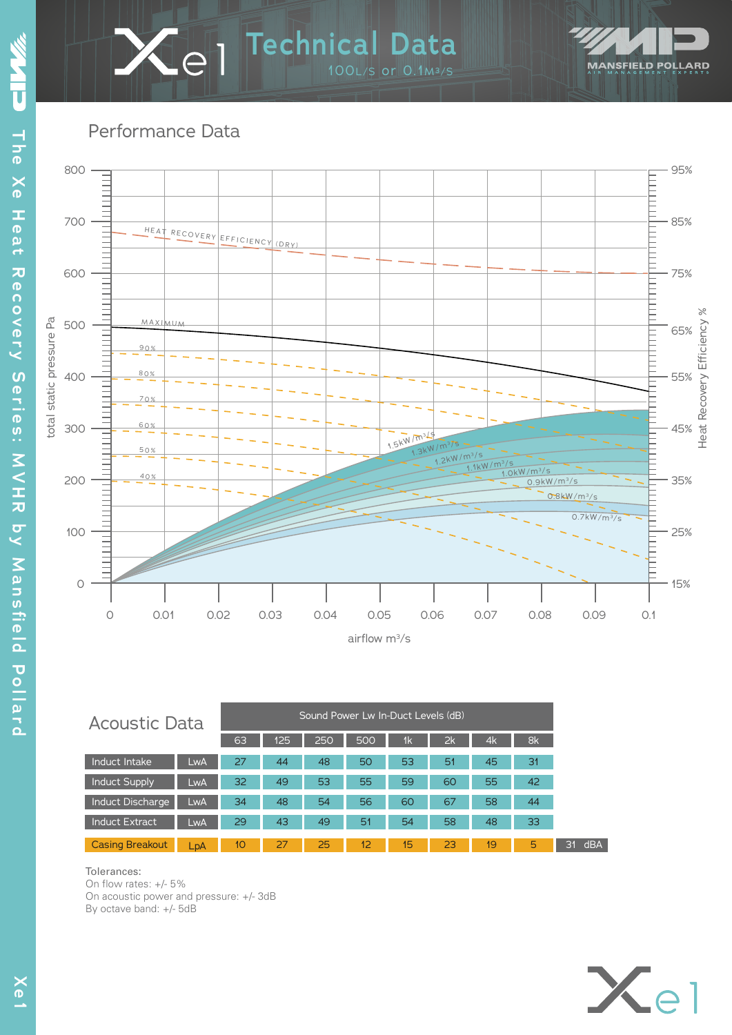

**Technical Data** 1 100L/S or 0.1M³/S

| <b>Acoustic Data</b>    |     | Sound Power Lw In-Duct Levels (dB) |     |     |     |                |                 |    |    |
|-------------------------|-----|------------------------------------|-----|-----|-----|----------------|-----------------|----|----|
|                         |     | 63                                 | 125 | 250 | 500 | 1 <sub>k</sub> | 2k              | 4k | 8k |
| Induct Intake           | LwA | 27                                 | 44  | 48  | 50  | 53             | 51              | 45 | 31 |
| <b>Induct Supply</b>    | LwA | 32                                 | 49  | 53  | 55  | 59             | 60              | 55 | 42 |
| <b>Induct Discharge</b> | LwA | 34                                 | 48  | 54  | 56  | 60             | 67              | 58 | 44 |
| <b>Induct Extract</b>   | LwA | 29                                 | 43  | 49  | 51  | 54             | 58              | 48 | 33 |
| <b>Casing Breakout</b>  | LpA | 10                                 | 27  | 25  | 12  | 15             | 23 <sub>1</sub> | 19 | 5  |

#### Tolerances:

On flow rates: +/- 5% On acoustic power and pressure: +/- 3dB By octave band: +/- 5dB



**MANSFIELD POLLARD**